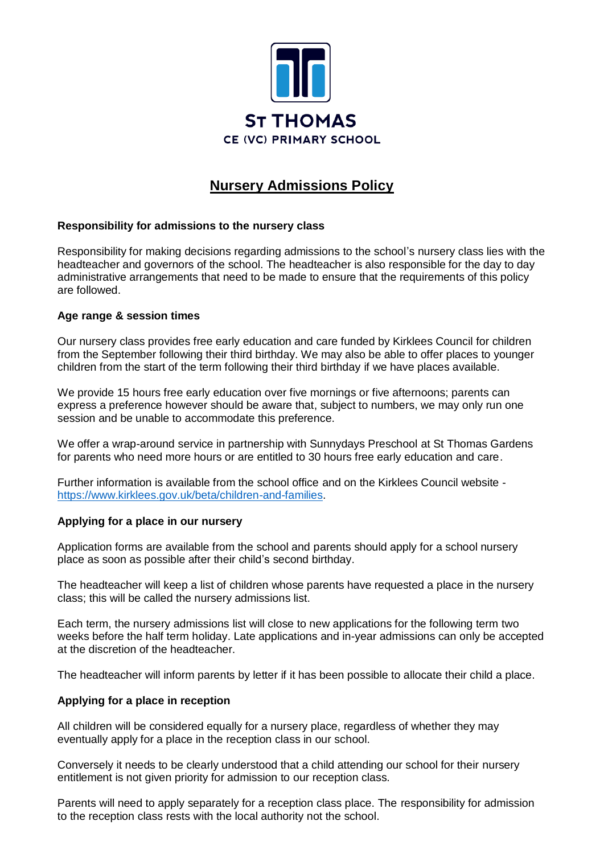

# **Nursery Admissions Policy**

## **Responsibility for admissions to the nursery class**

Responsibility for making decisions regarding admissions to the school's nursery class lies with the headteacher and governors of the school. The headteacher is also responsible for the day to day administrative arrangements that need to be made to ensure that the requirements of this policy are followed.

### **Age range & session times**

Our nursery class provides free early education and care funded by Kirklees Council for children from the September following their third birthday. We may also be able to offer places to younger children from the start of the term following their third birthday if we have places available.

We provide 15 hours free early education over five mornings or five afternoons; parents can express a preference however should be aware that, subject to numbers, we may only run one session and be unable to accommodate this preference.

We offer a wrap-around service in partnership with Sunnydays Preschool at St Thomas Gardens for parents who need more hours or are entitled to 30 hours free early education and care.

Further information is available from the school office and on the Kirklees Council website [https://www.kirklees.gov.uk/beta/children-and-families.](https://www.kirklees.gov.uk/beta/children-and-families.aspx%23childcare)

### **Applying for a place in our nursery**

Application forms are available from the school and parents should apply for a school nursery place as soon as possible after their child's second birthday.

The headteacher will keep a list of children whose parents have requested a place in the nursery class; this will be called the nursery admissions list.

Each term, the nursery admissions list will close to new applications for the following term two weeks before the half term holiday. Late applications and in-year admissions can only be accepted at the discretion of the headteacher.

The headteacher will inform parents by letter if it has been possible to allocate their child a place.

### **Applying for a place in reception**

All children will be considered equally for a nursery place, regardless of whether they may eventually apply for a place in the reception class in our school.

Conversely it needs to be clearly understood that a child attending our school for their nursery entitlement is not given priority for admission to our reception class.

Parents will need to apply separately for a reception class place. The responsibility for admission to the reception class rests with the local authority not the school.